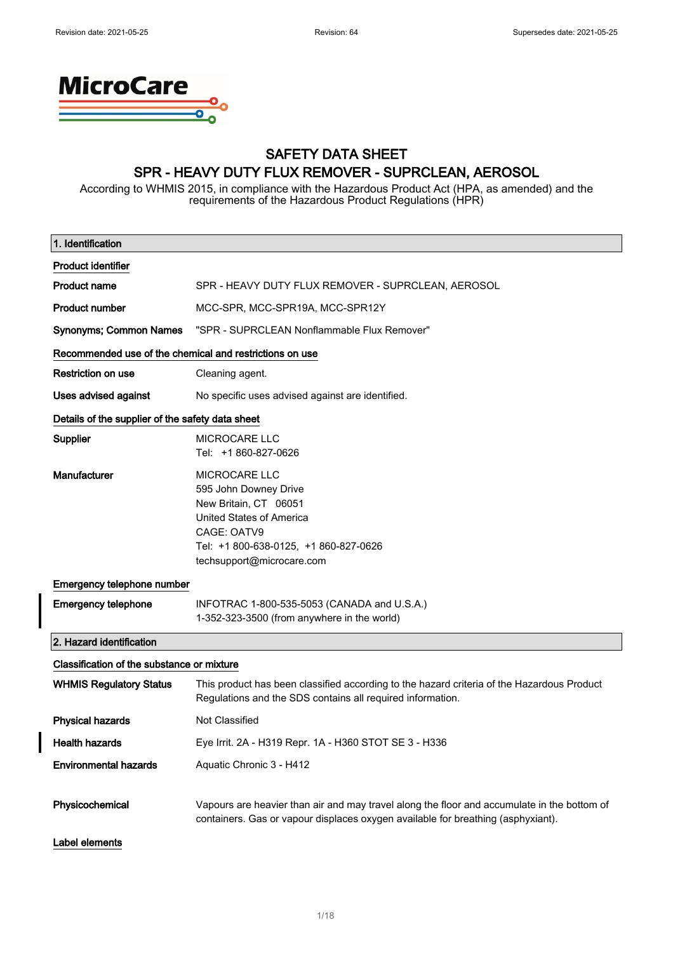

## SAFETY DATA SHEET SPR - HEAVY DUTY FLUX REMOVER - SUPRCLEAN, AEROSOL

According to WHMIS 2015, in compliance with the Hazardous Product Act (HPA, as amended) and the requirements of the Hazardous Product Regulations (HPR)

| 1. Identification                                       |                                                                                                                                                          |
|---------------------------------------------------------|----------------------------------------------------------------------------------------------------------------------------------------------------------|
| <b>Product identifier</b>                               |                                                                                                                                                          |
| <b>Product name</b>                                     | SPR - HEAVY DUTY FLUX REMOVER - SUPRCLEAN, AEROSOL                                                                                                       |
| <b>Product number</b>                                   | MCC-SPR, MCC-SPR19A, MCC-SPR12Y                                                                                                                          |
| <b>Synonyms; Common Names</b>                           | "SPR - SUPRCLEAN Nonflammable Flux Remover"                                                                                                              |
| Recommended use of the chemical and restrictions on use |                                                                                                                                                          |
| <b>Restriction on use</b>                               | Cleaning agent.                                                                                                                                          |
| Uses advised against                                    | No specific uses advised against are identified.                                                                                                         |
| Details of the supplier of the safety data sheet        |                                                                                                                                                          |
| Supplier                                                | <b>MICROCARE LLC</b>                                                                                                                                     |
|                                                         | Tel: +1 860-827-0626                                                                                                                                     |
| Manufacturer                                            | <b>MICROCARE LLC</b>                                                                                                                                     |
|                                                         | 595 John Downey Drive<br>New Britain, CT 06051                                                                                                           |
|                                                         | <b>United States of America</b>                                                                                                                          |
|                                                         | CAGE: OATV9                                                                                                                                              |
|                                                         | Tel: +1 800-638-0125, +1 860-827-0626                                                                                                                    |
|                                                         | techsupport@microcare.com                                                                                                                                |
| Emergency telephone number                              |                                                                                                                                                          |
| <b>Emergency telephone</b>                              | INFOTRAC 1-800-535-5053 (CANADA and U.S.A.)                                                                                                              |
|                                                         | 1-352-323-3500 (from anywhere in the world)                                                                                                              |
| 2. Hazard identification                                |                                                                                                                                                          |
| Classification of the substance or mixture              |                                                                                                                                                          |
| <b>WHMIS Regulatory Status</b>                          | This product has been classified according to the hazard criteria of the Hazardous Product<br>Regulations and the SDS contains all required information. |
| <b>Physical hazards</b>                                 | Not Classified                                                                                                                                           |
| <b>Health hazards</b>                                   | Eye Irrit. 2A - H319 Repr. 1A - H360 STOT SE 3 - H336                                                                                                    |
| <b>Environmental hazards</b>                            | Aquatic Chronic 3 - H412                                                                                                                                 |
|                                                         |                                                                                                                                                          |
| Physicochemical                                         | Vapours are heavier than air and may travel along the floor and accumulate in the bottom of                                                              |
|                                                         | containers. Gas or vapour displaces oxygen available for breathing (asphyxiant).                                                                         |
| Label elements                                          |                                                                                                                                                          |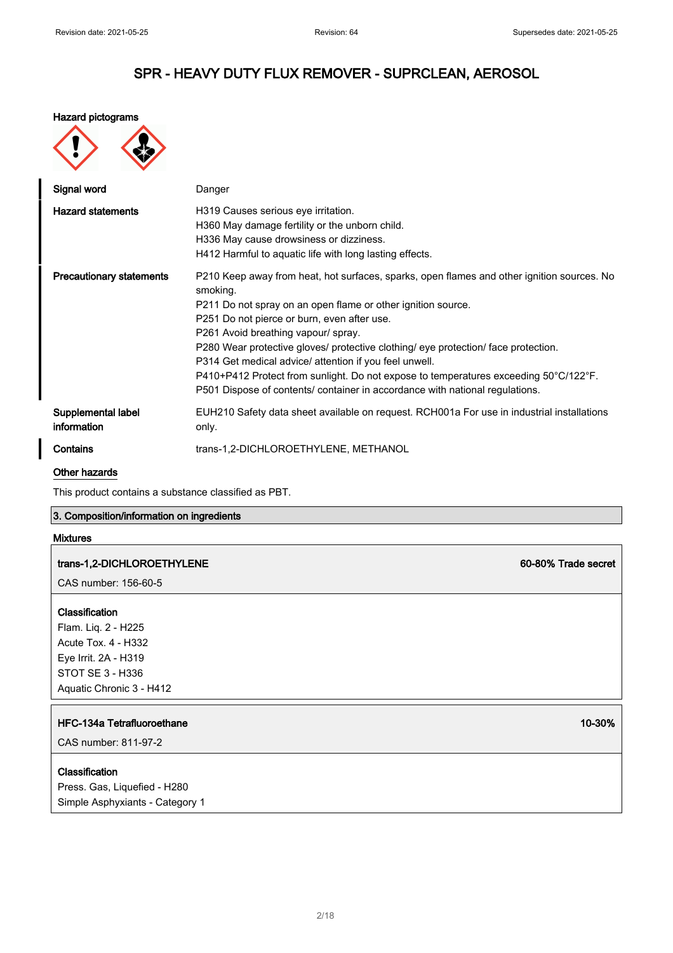60-80% Trade secret

## SPR - HEAVY DUTY FLUX REMOVER - SUPRCLEAN, AEROSOL

#### Hazard pictograms

| Signal word                       | Danger                                                                                                                                                                                                                                                                                                                                                                                                                                                                                                                                                                                                       |
|-----------------------------------|--------------------------------------------------------------------------------------------------------------------------------------------------------------------------------------------------------------------------------------------------------------------------------------------------------------------------------------------------------------------------------------------------------------------------------------------------------------------------------------------------------------------------------------------------------------------------------------------------------------|
| <b>Hazard statements</b>          | H319 Causes serious eye irritation.<br>H360 May damage fertility or the unborn child.<br>H336 May cause drowsiness or dizziness.<br>H412 Harmful to aquatic life with long lasting effects.                                                                                                                                                                                                                                                                                                                                                                                                                  |
| <b>Precautionary statements</b>   | P210 Keep away from heat, hot surfaces, sparks, open flames and other ignition sources. No<br>smoking.<br>P211 Do not spray on an open flame or other ignition source.<br>P251 Do not pierce or burn, even after use.<br>P261 Avoid breathing vapour/ spray.<br>P280 Wear protective gloves/ protective clothing/ eye protection/ face protection.<br>P314 Get medical advice/ attention if you feel unwell.<br>$P410+P412$ Protect from sunlight. Do not expose to temperatures exceeding 50 $^{\circ}$ C/122 $^{\circ}$ F.<br>P501 Dispose of contents/ container in accordance with national regulations. |
| Supplemental label<br>information | EUH210 Safety data sheet available on request. RCH001a For use in industrial installations<br>only.                                                                                                                                                                                                                                                                                                                                                                                                                                                                                                          |
| Contains                          | trans-1,2-DICHLOROETHYLENE, METHANOL                                                                                                                                                                                                                                                                                                                                                                                                                                                                                                                                                                         |

#### Other hazards

This product contains a substance classified as PBT.

### 3. Composition/information on ingredients

#### Mixtures

| trans-1,2-DICHLOROETHYLENE |  |
|----------------------------|--|
|----------------------------|--|

CAS number: 156-60-5

### Classification

Flam. Liq. 2 - H225 Acute Tox. 4 - H332 Eye Irrit. 2A - H319 STOT SE 3 - H336 Aquatic Chronic 3 - H412

#### HFC-134a Tetrafluoroethane 10-30% and 10-30% and 10-30% and 10-30% and 10-30% and 10-30%

CAS number: 811-97-2

#### **Classification**

Press. Gas, Liquefied - H280 Simple Asphyxiants - Category 1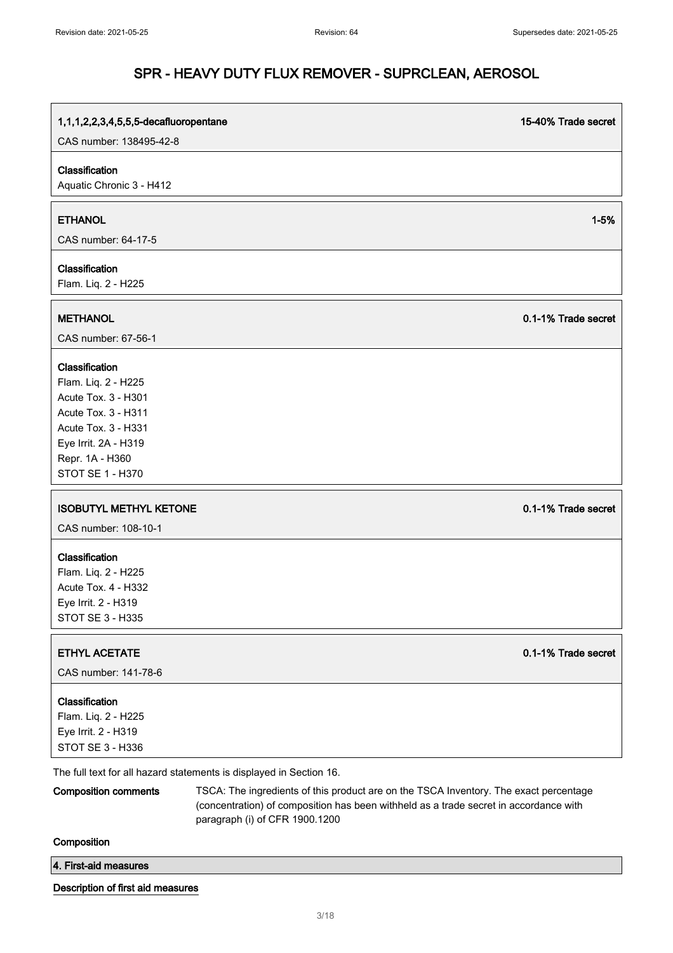# 1,1,1,2,2,3,4,5,5,5-decafluoropentane 15-40% Trade secret CAS number: 138495-42-8 Classification Aquatic Chronic 3 - H412 ETHANOL 1-5% CAS number: 64-17-5 **Classification** Flam. Liq. 2 - H225 METHANOL 0.1-1% Trade secret CAS number: 67-56-1 Classification Flam. Liq. 2 - H225 Acute Tox. 3 - H301 Acute Tox. 3 - H311 Acute Tox. 3 - H331 Eye Irrit. 2A - H319 Repr. 1A - H360 STOT SE 1 - H370 ISOBUTYL METHYL KETONE 0.1-1% Trade secret CAS number: 108-10-1 Classification Flam. Liq. 2 - H225 Acute Tox. 4 - H332 Eye Irrit. 2 - H319 STOT SE 3 - H335 ETHYL ACETATE 0.1-1% Trade secret CAS number: 141-78-6 Classification Flam. Liq. 2 - H225 Eye Irrit. 2 - H319 STOT SE 3 - H336 The full text for all hazard statements is displayed in Section 16. Composition comments TSCA: The ingredients of this product are on the TSCA Inventory. The exact percentage

(concentration) of composition has been withheld as a trade secret in accordance with paragraph (i) of CFR 1900.1200

**Composition** 

- 4. First-aid measures
- Description of first aid measures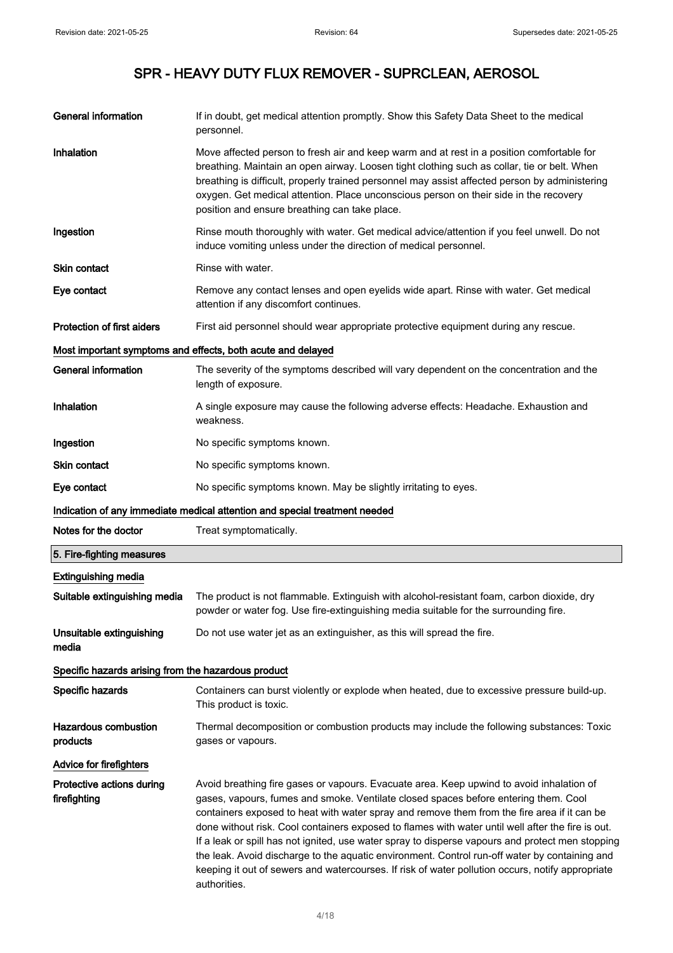| <b>General information</b>                          | If in doubt, get medical attention promptly. Show this Safety Data Sheet to the medical<br>personnel.                                                                                                                                                                                                                                                                                                                                                                                                                                                                                    |
|-----------------------------------------------------|------------------------------------------------------------------------------------------------------------------------------------------------------------------------------------------------------------------------------------------------------------------------------------------------------------------------------------------------------------------------------------------------------------------------------------------------------------------------------------------------------------------------------------------------------------------------------------------|
| Inhalation                                          | Move affected person to fresh air and keep warm and at rest in a position comfortable for<br>breathing. Maintain an open airway. Loosen tight clothing such as collar, tie or belt. When<br>breathing is difficult, properly trained personnel may assist affected person by administering<br>oxygen. Get medical attention. Place unconscious person on their side in the recovery<br>position and ensure breathing can take place.                                                                                                                                                     |
| Ingestion                                           | Rinse mouth thoroughly with water. Get medical advice/attention if you feel unwell. Do not<br>induce vomiting unless under the direction of medical personnel.                                                                                                                                                                                                                                                                                                                                                                                                                           |
| <b>Skin contact</b>                                 | Rinse with water.                                                                                                                                                                                                                                                                                                                                                                                                                                                                                                                                                                        |
| Eye contact                                         | Remove any contact lenses and open eyelids wide apart. Rinse with water. Get medical<br>attention if any discomfort continues.                                                                                                                                                                                                                                                                                                                                                                                                                                                           |
| <b>Protection of first aiders</b>                   | First aid personnel should wear appropriate protective equipment during any rescue.                                                                                                                                                                                                                                                                                                                                                                                                                                                                                                      |
|                                                     | Most important symptoms and effects, both acute and delayed                                                                                                                                                                                                                                                                                                                                                                                                                                                                                                                              |
| <b>General information</b>                          | The severity of the symptoms described will vary dependent on the concentration and the<br>length of exposure.                                                                                                                                                                                                                                                                                                                                                                                                                                                                           |
| Inhalation                                          | A single exposure may cause the following adverse effects: Headache. Exhaustion and<br>weakness.                                                                                                                                                                                                                                                                                                                                                                                                                                                                                         |
| Ingestion                                           | No specific symptoms known.                                                                                                                                                                                                                                                                                                                                                                                                                                                                                                                                                              |
| Skin contact                                        | No specific symptoms known.                                                                                                                                                                                                                                                                                                                                                                                                                                                                                                                                                              |
| Eye contact                                         | No specific symptoms known. May be slightly irritating to eyes.                                                                                                                                                                                                                                                                                                                                                                                                                                                                                                                          |
|                                                     | Indication of any immediate medical attention and special treatment needed                                                                                                                                                                                                                                                                                                                                                                                                                                                                                                               |
| Notes for the doctor                                | Treat symptomatically.                                                                                                                                                                                                                                                                                                                                                                                                                                                                                                                                                                   |
| 5. Fire-fighting measures                           |                                                                                                                                                                                                                                                                                                                                                                                                                                                                                                                                                                                          |
| <b>Extinguishing media</b>                          |                                                                                                                                                                                                                                                                                                                                                                                                                                                                                                                                                                                          |
| Suitable extinguishing media                        | The product is not flammable. Extinguish with alcohol-resistant foam, carbon dioxide, dry<br>powder or water fog. Use fire-extinguishing media suitable for the surrounding fire.                                                                                                                                                                                                                                                                                                                                                                                                        |
| Unsuitable extinguishing<br>media                   | Do not use water jet as an extinguisher, as this will spread the fire.                                                                                                                                                                                                                                                                                                                                                                                                                                                                                                                   |
| Specific hazards arising from the hazardous product |                                                                                                                                                                                                                                                                                                                                                                                                                                                                                                                                                                                          |
| Specific hazards                                    | Containers can burst violently or explode when heated, due to excessive pressure build-up.<br>This product is toxic.                                                                                                                                                                                                                                                                                                                                                                                                                                                                     |
| Hazardous combustion<br>products                    | Thermal decomposition or combustion products may include the following substances: Toxic<br>gases or vapours.                                                                                                                                                                                                                                                                                                                                                                                                                                                                            |
| <b>Advice for firefighters</b>                      |                                                                                                                                                                                                                                                                                                                                                                                                                                                                                                                                                                                          |
| Protective actions during<br>firefighting           | Avoid breathing fire gases or vapours. Evacuate area. Keep upwind to avoid inhalation of<br>gases, vapours, fumes and smoke. Ventilate closed spaces before entering them. Cool<br>containers exposed to heat with water spray and remove them from the fire area if it can be<br>done without risk. Cool containers exposed to flames with water until well after the fire is out.<br>If a leak or spill has not ignited, use water spray to disperse vapours and protect men stopping<br>the leak. Avoid discharge to the aquatic environment. Control run-off water by containing and |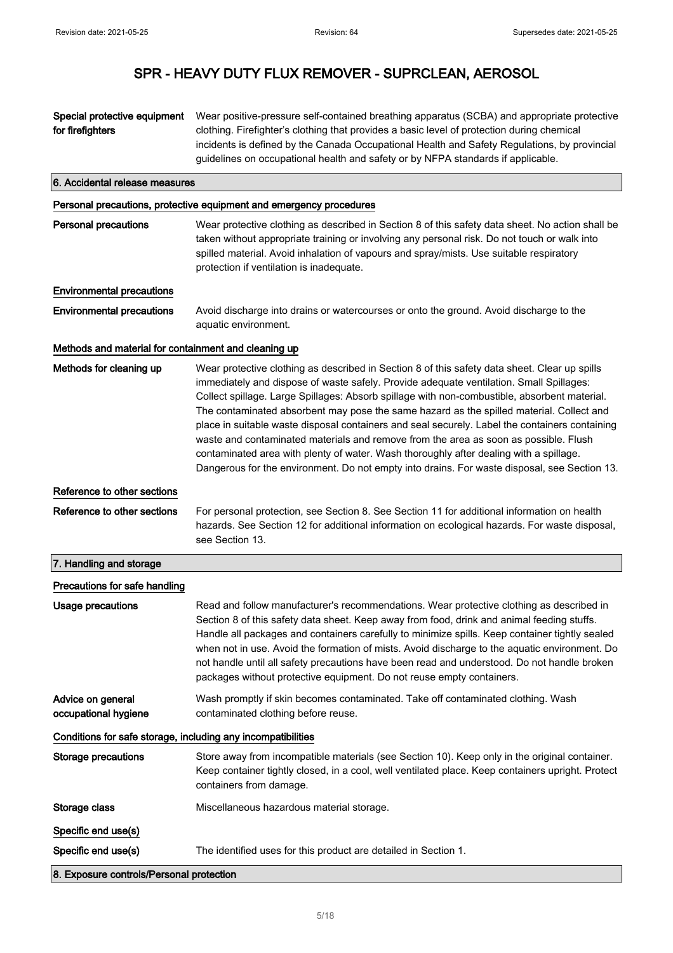## Special protective equipment for firefighters Wear positive-pressure self-contained breathing apparatus (SCBA) and appropriate protective clothing. Firefighter's clothing that provides a basic level of protection during chemical incidents is defined by the Canada Occupational Health and Safety Regulations, by provincial guidelines on occupational health and safety or by NFPA standards if applicable. 6. Accidental release measures Personal precautions, protective equipment and emergency procedures Personal precautions Wear protective clothing as described in Section 8 of this safety data sheet. No action shall be taken without appropriate training or involving any personal risk. Do not touch or walk into spilled material. Avoid inhalation of vapours and spray/mists. Use suitable respiratory protection if ventilation is inadequate. Environmental precautions Environmental precautions Avoid discharge into drains or watercourses or onto the ground. Avoid discharge to the aquatic environment. Methods and material for containment and cleaning up Methods for cleaning up Wear protective clothing as described in Section 8 of this safety data sheet. Clear up spills immediately and dispose of waste safely. Provide adequate ventilation. Small Spillages: Collect spillage. Large Spillages: Absorb spillage with non-combustible, absorbent material. The contaminated absorbent may pose the same hazard as the spilled material. Collect and place in suitable waste disposal containers and seal securely. Label the containers containing waste and contaminated materials and remove from the area as soon as possible. Flush contaminated area with plenty of water. Wash thoroughly after dealing with a spillage. Dangerous for the environment. Do not empty into drains. For waste disposal, see Section 13. Reference to other sections Reference to other sections For personal protection, see Section 8. See Section 11 for additional information on health hazards. See Section 12 for additional information on ecological hazards. For waste disposal, see Section 13. 7. Handling and storage Precautions for safe handling Usage precautions Read and follow manufacturer's recommendations. Wear protective clothing as described in Section 8 of this safety data sheet. Keep away from food, drink and animal feeding stuffs. Handle all packages and containers carefully to minimize spills. Keep container tightly sealed when not in use. Avoid the formation of mists. Avoid discharge to the aquatic environment. Do not handle until all safety precautions have been read and understood. Do not handle broken packages without protective equipment. Do not reuse empty containers. Advice on general occupational hygiene Wash promptly if skin becomes contaminated. Take off contaminated clothing. Wash contaminated clothing before reuse. Conditions for safe storage, including any incompatibilities Storage precautions Store away from incompatible materials (see Section 10). Keep only in the original container. Keep container tightly closed, in a cool, well ventilated place. Keep containers upright. Protect containers from damage. Storage class Miscellaneous hazardous material storage. Specific end use(s) Specific end use(s) The identified uses for this product are detailed in Section 1.

8. Exposure controls/Personal protection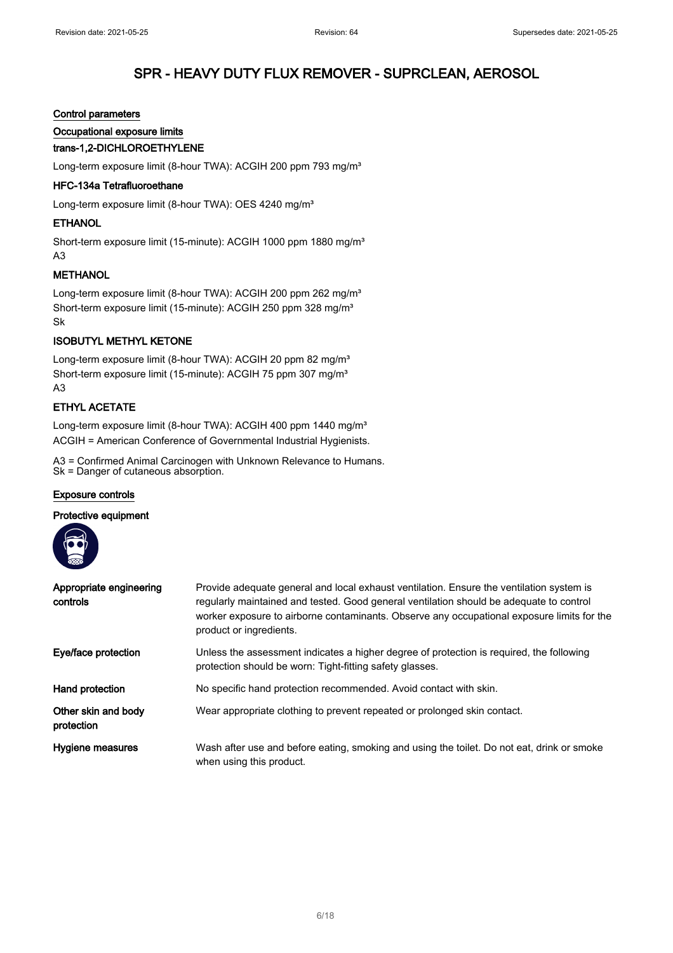#### Control parameters

#### Occupational exposure limits

### trans-1,2-DICHLOROETHYLENE

Long-term exposure limit (8-hour TWA): ACGIH 200 ppm 793 mg/m<sup>3</sup>

#### HFC-134a Tetrafluoroethane

Long-term exposure limit (8-hour TWA): OES 4240 mg/m<sup>3</sup>

### **ETHANOL**

Short-term exposure limit (15-minute): ACGIH 1000 ppm 1880 mg/m<sup>3</sup> A3

### **METHANOL**

Long-term exposure limit (8-hour TWA): ACGIH 200 ppm 262 mg/m<sup>3</sup> Short-term exposure limit (15-minute): ACGIH 250 ppm 328 mg/m<sup>3</sup> Sk

### ISOBUTYL METHYL KETONE

Long-term exposure limit (8-hour TWA): ACGIH 20 ppm 82 mg/m<sup>3</sup> Short-term exposure limit (15-minute): ACGIH 75 ppm 307 mg/m<sup>3</sup> A3

### ETHYL ACETATE

Long-term exposure limit (8-hour TWA): ACGIH 400 ppm 1440 mg/m<sup>3</sup> ACGIH = American Conference of Governmental Industrial Hygienists.

A3 = Confirmed Animal Carcinogen with Unknown Relevance to Humans. Sk = Danger of cutaneous absorption.

#### Exposure controls

#### Protective equipment



| Appropriate engineering<br>controls | Provide adequate general and local exhaust ventilation. Ensure the ventilation system is<br>regularly maintained and tested. Good general ventilation should be adequate to control<br>worker exposure to airborne contaminants. Observe any occupational exposure limits for the<br>product or ingredients. |
|-------------------------------------|--------------------------------------------------------------------------------------------------------------------------------------------------------------------------------------------------------------------------------------------------------------------------------------------------------------|
| Eye/face protection                 | Unless the assessment indicates a higher degree of protection is required, the following<br>protection should be worn: Tight-fitting safety glasses.                                                                                                                                                         |
| Hand protection                     | No specific hand protection recommended. Avoid contact with skin.                                                                                                                                                                                                                                            |
| Other skin and body<br>protection   | Wear appropriate clothing to prevent repeated or prolonged skin contact.                                                                                                                                                                                                                                     |
| Hygiene measures                    | Wash after use and before eating, smoking and using the toilet. Do not eat, drink or smoke<br>when using this product.                                                                                                                                                                                       |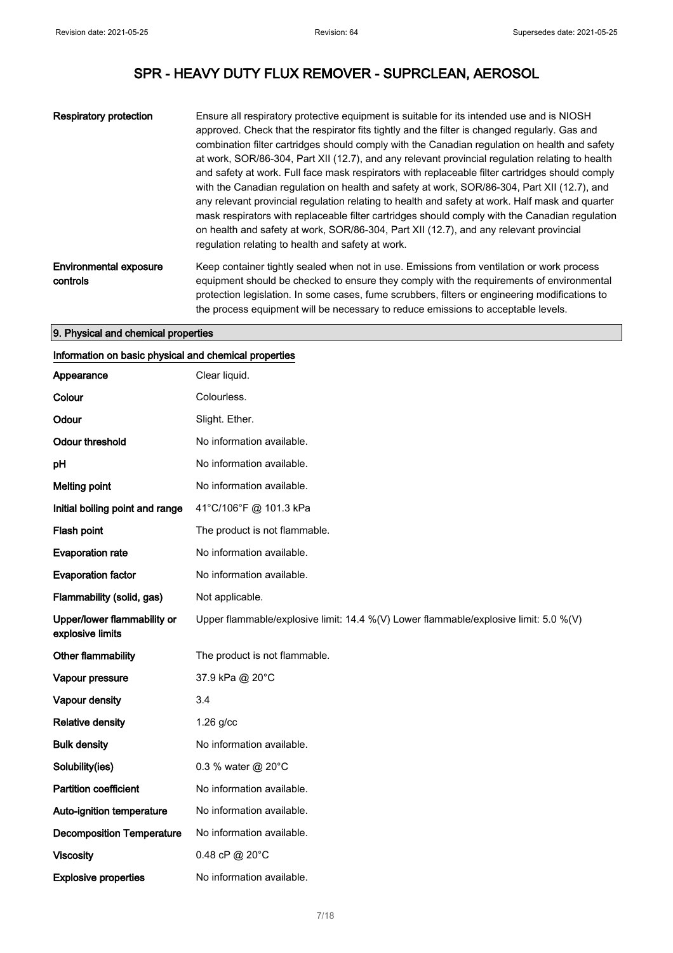| <b>Respiratory protection</b>      | Ensure all respiratory protective equipment is suitable for its intended use and is NIOSH<br>approved. Check that the respirator fits tightly and the filter is changed regularly. Gas and<br>combination filter cartridges should comply with the Canadian regulation on health and safety<br>at work, SOR/86-304, Part XII (12.7), and any relevant provincial regulation relating to health<br>and safety at work. Full face mask respirators with replaceable filter cartridges should comply<br>with the Canadian regulation on health and safety at work, SOR/86-304, Part XII (12.7), and<br>any relevant provincial regulation relating to health and safety at work. Half mask and quarter<br>mask respirators with replaceable filter cartridges should comply with the Canadian regulation<br>on health and safety at work, SOR/86-304, Part XII (12.7), and any relevant provincial<br>regulation relating to health and safety at work. |
|------------------------------------|------------------------------------------------------------------------------------------------------------------------------------------------------------------------------------------------------------------------------------------------------------------------------------------------------------------------------------------------------------------------------------------------------------------------------------------------------------------------------------------------------------------------------------------------------------------------------------------------------------------------------------------------------------------------------------------------------------------------------------------------------------------------------------------------------------------------------------------------------------------------------------------------------------------------------------------------------|
| Environmental exposure<br>controls | Keep container tightly sealed when not in use. Emissions from ventilation or work process<br>equipment should be checked to ensure they comply with the requirements of environmental<br>protection legislation. In some cases, fume scrubbers, filters or engineering modifications to<br>the process equipment will be necessary to reduce emissions to acceptable levels.                                                                                                                                                                                                                                                                                                                                                                                                                                                                                                                                                                         |

### 9. Physical and chemical properties

| Information on basic physical and chemical properties |                                                                                      |  |
|-------------------------------------------------------|--------------------------------------------------------------------------------------|--|
| Appearance                                            | Clear liquid.                                                                        |  |
| Colour                                                | Colourless.                                                                          |  |
| Odour                                                 | Slight. Ether.                                                                       |  |
| <b>Odour threshold</b>                                | No information available.                                                            |  |
| pH                                                    | No information available.                                                            |  |
| <b>Melting point</b>                                  | No information available.                                                            |  |
| Initial boiling point and range                       | 41°C/106°F @ 101.3 kPa                                                               |  |
| Flash point                                           | The product is not flammable.                                                        |  |
| <b>Evaporation rate</b>                               | No information available.                                                            |  |
| <b>Evaporation factor</b>                             | No information available.                                                            |  |
| Flammability (solid, gas)                             | Not applicable.                                                                      |  |
| Upper/lower flammability or<br>explosive limits       | Upper flammable/explosive limit: 14.4 %(V) Lower flammable/explosive limit: 5.0 %(V) |  |
| Other flammability                                    | The product is not flammable.                                                        |  |
| Vapour pressure                                       | 37.9 kPa @ 20°C                                                                      |  |
| Vapour density                                        | 3.4                                                                                  |  |
| <b>Relative density</b>                               | $1.26$ g/cc                                                                          |  |
| <b>Bulk density</b>                                   | No information available.                                                            |  |
| Solubility(ies)                                       | 0.3 % water @ 20°C                                                                   |  |
| <b>Partition coefficient</b>                          | No information available.                                                            |  |
| Auto-ignition temperature                             | No information available.                                                            |  |
| <b>Decomposition Temperature</b>                      | No information available.                                                            |  |
| <b>Viscosity</b>                                      | 0.48 cP @ 20°C                                                                       |  |
| <b>Explosive properties</b>                           | No information available.                                                            |  |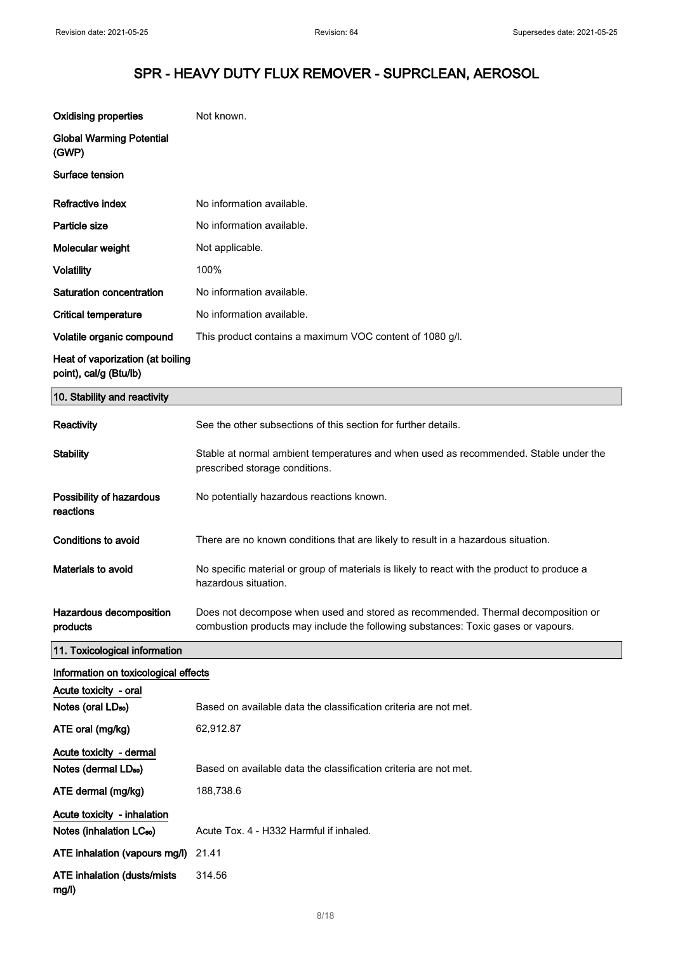| <b>Oxidising properties</b>                                         | Not known.                                                                                                                                                            |
|---------------------------------------------------------------------|-----------------------------------------------------------------------------------------------------------------------------------------------------------------------|
| <b>Global Warming Potential</b><br>(GWP)                            |                                                                                                                                                                       |
| Surface tension                                                     |                                                                                                                                                                       |
| Refractive index                                                    | No information available.                                                                                                                                             |
| Particle size                                                       | No information available.                                                                                                                                             |
| Molecular weight                                                    | Not applicable.                                                                                                                                                       |
| <b>Volatility</b>                                                   | 100%                                                                                                                                                                  |
| Saturation concentration                                            | No information available.                                                                                                                                             |
| <b>Critical temperature</b>                                         | No information available.                                                                                                                                             |
| Volatile organic compound                                           | This product contains a maximum VOC content of 1080 g/l.                                                                                                              |
| Heat of vaporization (at boiling<br>point), cal/g (Btu/lb)          |                                                                                                                                                                       |
| 10. Stability and reactivity                                        |                                                                                                                                                                       |
| <b>Reactivity</b>                                                   | See the other subsections of this section for further details.                                                                                                        |
| <b>Stability</b>                                                    | Stable at normal ambient temperatures and when used as recommended. Stable under the<br>prescribed storage conditions.                                                |
| Possibility of hazardous<br>reactions                               | No potentially hazardous reactions known.                                                                                                                             |
| <b>Conditions to avoid</b>                                          | There are no known conditions that are likely to result in a hazardous situation.                                                                                     |
| Materials to avoid                                                  | No specific material or group of materials is likely to react with the product to produce a<br>hazardous situation.                                                   |
| Hazardous decomposition<br>products                                 | Does not decompose when used and stored as recommended. Thermal decomposition or<br>combustion products may include the following substances: Toxic gases or vapours. |
| 11. Toxicological information                                       |                                                                                                                                                                       |
| Information on toxicological effects                                |                                                                                                                                                                       |
| Acute toxicity - oral<br>Notes (oral LD <sub>50</sub> )             | Based on available data the classification criteria are not met.                                                                                                      |
| ATE oral (mg/kg)                                                    | 62,912.87                                                                                                                                                             |
| Acute toxicity - dermal<br>Notes (dermal LD <sub>50</sub> )         | Based on available data the classification criteria are not met.                                                                                                      |
| ATE dermal (mg/kg)                                                  | 188,738.6                                                                                                                                                             |
| Acute toxicity - inhalation<br>Notes (inhalation LC <sub>50</sub> ) | Acute Tox. 4 - H332 Harmful if inhaled.                                                                                                                               |
| ATE inhalation (vapours mg/l)                                       | 21.41                                                                                                                                                                 |
| ATE inhalation (dusts/mists<br>mg/l)                                | 314.56                                                                                                                                                                |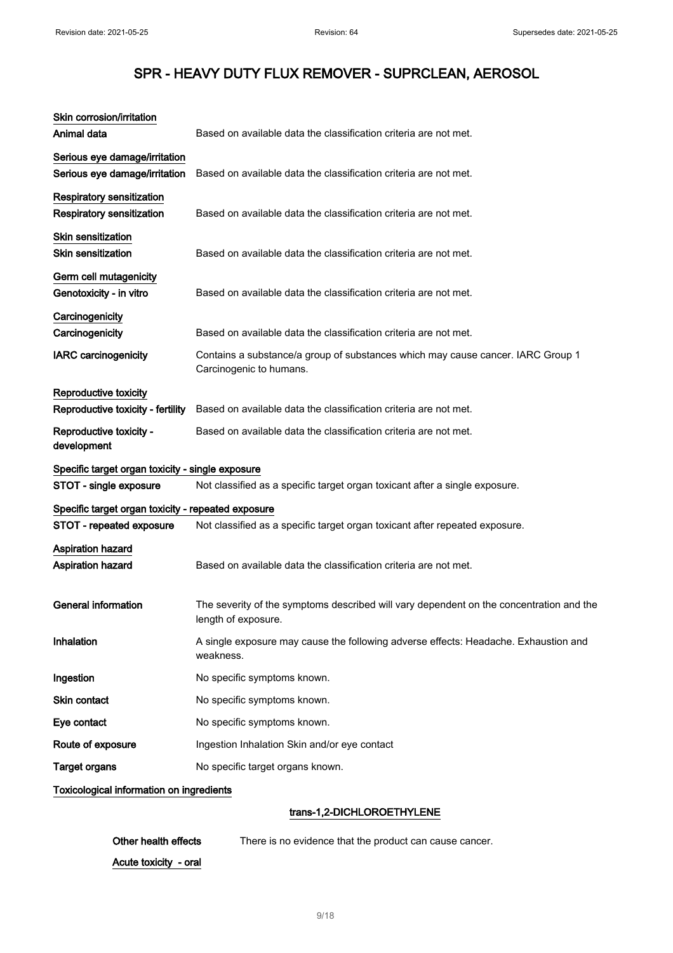| Skin corrosion/irritation                                            |                                                                                                                |
|----------------------------------------------------------------------|----------------------------------------------------------------------------------------------------------------|
| Animal data                                                          | Based on available data the classification criteria are not met.                                               |
| Serious eye damage/irritation<br>Serious eye damage/irritation       | Based on available data the classification criteria are not met.                                               |
| <b>Respiratory sensitization</b><br><b>Respiratory sensitization</b> | Based on available data the classification criteria are not met.                                               |
| <b>Skin sensitization</b><br><b>Skin sensitization</b>               | Based on available data the classification criteria are not met.                                               |
| Germ cell mutagenicity<br>Genotoxicity - in vitro                    | Based on available data the classification criteria are not met.                                               |
| Carcinogenicity<br>Carcinogenicity                                   | Based on available data the classification criteria are not met.                                               |
| <b>IARC</b> carcinogenicity                                          | Contains a substance/a group of substances which may cause cancer. IARC Group 1<br>Carcinogenic to humans.     |
| Reproductive toxicity<br>Reproductive toxicity - fertility           | Based on available data the classification criteria are not met.                                               |
| Reproductive toxicity -<br>development                               | Based on available data the classification criteria are not met.                                               |
| Specific target organ toxicity - single exposure                     |                                                                                                                |
| STOT - single exposure                                               | Not classified as a specific target organ toxicant after a single exposure.                                    |
| Specific target organ toxicity - repeated exposure                   |                                                                                                                |
| STOT - repeated exposure                                             | Not classified as a specific target organ toxicant after repeated exposure.                                    |
| <b>Aspiration hazard</b><br>Aspiration hazard                        | Based on available data the classification criteria are not met.                                               |
| <b>General information</b>                                           | The severity of the symptoms described will vary dependent on the concentration and the<br>length of exposure. |
| Inhalation                                                           | A single exposure may cause the following adverse effects: Headache. Exhaustion and<br>weakness.               |
| Ingestion                                                            | No specific symptoms known.                                                                                    |
| Skin contact                                                         | No specific symptoms known.                                                                                    |
| Eye contact                                                          | No specific symptoms known.                                                                                    |
| Route of exposure                                                    | Ingestion Inhalation Skin and/or eye contact                                                                   |
| <b>Target organs</b>                                                 | No specific target organs known.                                                                               |
| Toxicological information on ingredients                             |                                                                                                                |

## trans-1,2-DICHLOROETHYLENE

| Other health effects  |  |
|-----------------------|--|
| Acute toxicity - oral |  |

There is no evidence that the product can cause cancer.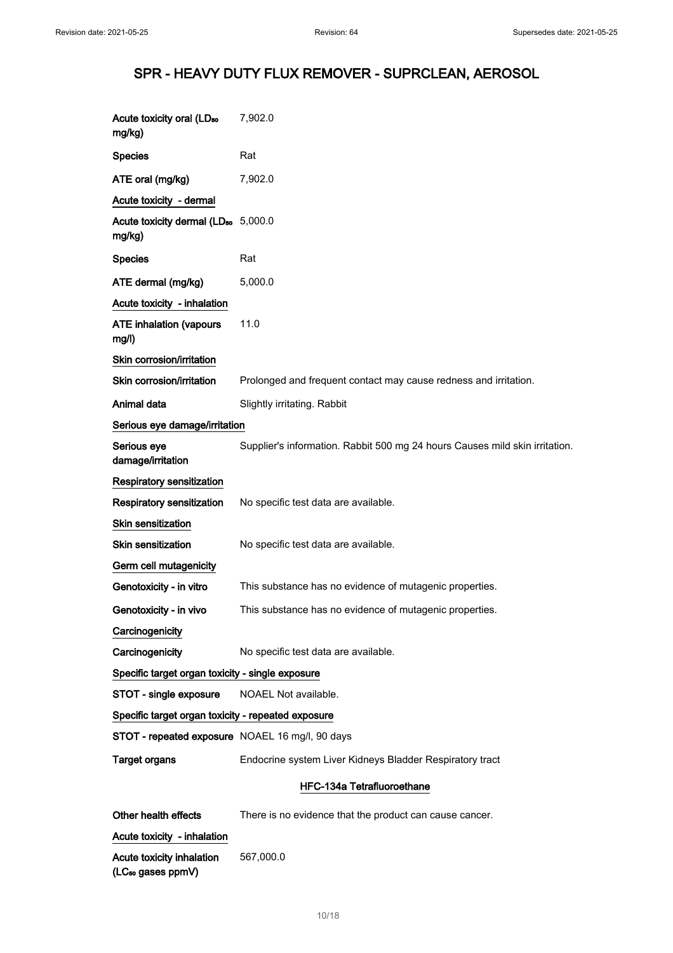| Acute toxicity oral (LD <sub>50</sub><br>mg/kg)            | 7,902.0                                                                     |
|------------------------------------------------------------|-----------------------------------------------------------------------------|
| <b>Species</b>                                             | Rat                                                                         |
| ATE oral (mg/kg)                                           | 7,902.0                                                                     |
| Acute toxicity - dermal                                    |                                                                             |
| Acute toxicity dermal (LD <sub>50</sub> 5,000.0<br>mg/kg)  |                                                                             |
| <b>Species</b>                                             | Rat                                                                         |
| ATE dermal (mg/kg)                                         | 5,000.0                                                                     |
| Acute toxicity - inhalation                                |                                                                             |
| <b>ATE inhalation (vapours</b><br>mg/l)                    | 11.0                                                                        |
| Skin corrosion/irritation                                  |                                                                             |
| Skin corrosion/irritation                                  | Prolonged and frequent contact may cause redness and irritation.            |
| Animal data                                                | Slightly irritating. Rabbit                                                 |
| Serious eye damage/irritation                              |                                                                             |
| Serious eye<br>damage/irritation                           | Supplier's information. Rabbit 500 mg 24 hours Causes mild skin irritation. |
| Respiratory sensitization                                  |                                                                             |
| <b>Respiratory sensitization</b>                           | No specific test data are available.                                        |
| Skin sensitization                                         |                                                                             |
| <b>Skin sensitization</b>                                  | No specific test data are available.                                        |
| Germ cell mutagenicity                                     |                                                                             |
| Genotoxicity - in vitro                                    | This substance has no evidence of mutagenic properties.                     |
| Genotoxicity - in vivo                                     | This substance has no evidence of mutagenic properties.                     |
| Carcinogenicity                                            |                                                                             |
| Carcinogenicity                                            | No specific test data are available.                                        |
| Specific target organ toxicity - single exposure           |                                                                             |
| STOT - single exposure                                     | NOAEL Not available.                                                        |
| Specific target organ toxicity - repeated exposure         |                                                                             |
| STOT - repeated exposure NOAEL 16 mg/l, 90 days            |                                                                             |
| <b>Target organs</b>                                       | Endocrine system Liver Kidneys Bladder Respiratory tract                    |
|                                                            | HFC-134a Tetrafluoroethane                                                  |
| Other health effects                                       | There is no evidence that the product can cause cancer.                     |
| Acute toxicity - inhalation                                |                                                                             |
| Acute toxicity inhalation<br>(LC <sub>50</sub> gases ppmV) | 567,000.0                                                                   |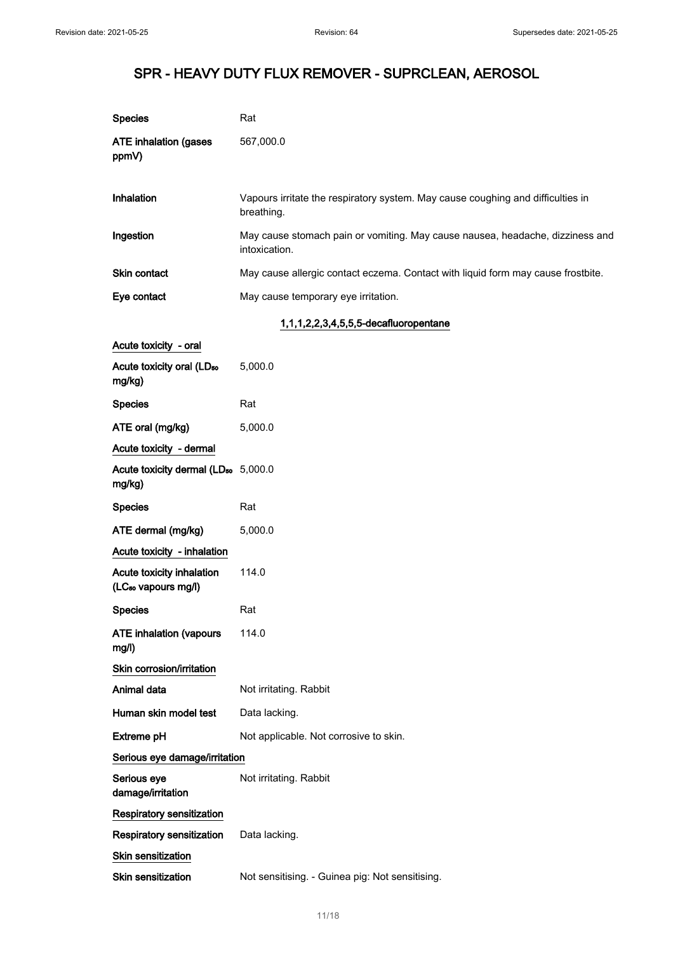| <b>Species</b>                                               | Rat                                                                                            |
|--------------------------------------------------------------|------------------------------------------------------------------------------------------------|
| <b>ATE inhalation (gases</b><br>ppmV)                        | 567,000.0                                                                                      |
|                                                              |                                                                                                |
| Inhalation                                                   | Vapours irritate the respiratory system. May cause coughing and difficulties in<br>breathing.  |
| Ingestion                                                    | May cause stomach pain or vomiting. May cause nausea, headache, dizziness and<br>intoxication. |
| Skin contact                                                 | May cause allergic contact eczema. Contact with liquid form may cause frostbite.               |
| Eye contact                                                  | May cause temporary eye irritation.                                                            |
|                                                              | 1,1,1,2,2,3,4,5,5,5-decafluoropentane                                                          |
| Acute toxicity - oral                                        |                                                                                                |
| Acute toxicity oral (LD <sub>50</sub><br>mg/kg)              | 5,000.0                                                                                        |
| <b>Species</b>                                               | Rat                                                                                            |
| ATE oral (mg/kg)                                             | 5,000.0                                                                                        |
| Acute toxicity - dermal                                      |                                                                                                |
| Acute toxicity dermal (LD <sub>50</sub> 5,000.0<br>mg/kg)    |                                                                                                |
| <b>Species</b>                                               | Rat                                                                                            |
| ATE dermal (mg/kg)                                           | 5,000.0                                                                                        |
| Acute toxicity - inhalation                                  |                                                                                                |
| Acute toxicity inhalation<br>(LC <sub>50</sub> vapours mg/l) | 114.0                                                                                          |
| <b>Species</b>                                               | Rat                                                                                            |
| <b>ATE inhalation (vapours</b><br>mg/l)                      | 114.0                                                                                          |
| Skin corrosion/irritation                                    |                                                                                                |
| Animal data                                                  | Not irritating. Rabbit                                                                         |
| Human skin model test                                        | Data lacking.                                                                                  |
| Extreme pH                                                   | Not applicable. Not corrosive to skin.                                                         |
| Serious eye damage/irritation                                |                                                                                                |
| Serious eye<br>damage/irritation                             | Not irritating. Rabbit                                                                         |
| Respiratory sensitization                                    |                                                                                                |
| Respiratory sensitization                                    | Data lacking.                                                                                  |
| <b>Skin sensitization</b>                                    |                                                                                                |
| Skin sensitization                                           | Not sensitising. - Guinea pig: Not sensitising.                                                |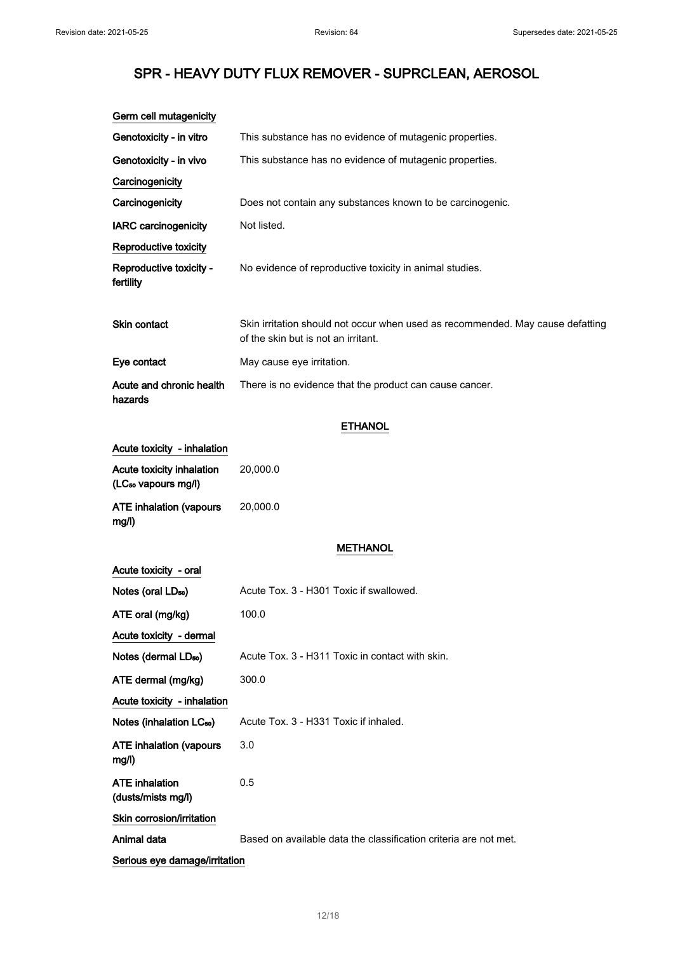| Germ cell mutagenicity                                       |                                                                                                                       |  |  |
|--------------------------------------------------------------|-----------------------------------------------------------------------------------------------------------------------|--|--|
| Genotoxicity - in vitro                                      | This substance has no evidence of mutagenic properties.                                                               |  |  |
| Genotoxicity - in vivo                                       | This substance has no evidence of mutagenic properties.                                                               |  |  |
| Carcinogenicity                                              |                                                                                                                       |  |  |
| Carcinogenicity                                              | Does not contain any substances known to be carcinogenic.                                                             |  |  |
| <b>IARC</b> carcinogenicity                                  | Not listed.                                                                                                           |  |  |
| Reproductive toxicity                                        |                                                                                                                       |  |  |
| Reproductive toxicity -<br>fertility                         | No evidence of reproductive toxicity in animal studies.                                                               |  |  |
|                                                              |                                                                                                                       |  |  |
| Skin contact                                                 | Skin irritation should not occur when used as recommended. May cause defatting<br>of the skin but is not an irritant. |  |  |
| Eye contact                                                  | May cause eye irritation.                                                                                             |  |  |
| Acute and chronic health<br>hazards                          | There is no evidence that the product can cause cancer.                                                               |  |  |
|                                                              | <b>ETHANOL</b>                                                                                                        |  |  |
| Acute toxicity - inhalation                                  |                                                                                                                       |  |  |
| Acute toxicity inhalation<br>(LC <sub>50</sub> vapours mg/l) | 20,000.0                                                                                                              |  |  |
| <b>ATE inhalation (vapours</b><br>mg/l)                      | 20,000.0                                                                                                              |  |  |
|                                                              | <b>METHANOL</b>                                                                                                       |  |  |
| Acute toxicity - oral                                        |                                                                                                                       |  |  |
| Notes (oral LD <sub>50</sub> )                               | Acute Tox. 3 - H301 Toxic if swallowed.                                                                               |  |  |
| ATE oral (mg/kg)                                             | 100.0                                                                                                                 |  |  |
| Acute toxicity - dermal                                      |                                                                                                                       |  |  |
| Notes (dermal LD <sub>50</sub> )                             | Acute Tox. 3 - H311 Toxic in contact with skin.                                                                       |  |  |
| ATE dermal (mg/kg)                                           | 300.0                                                                                                                 |  |  |
| Acute toxicity - inhalation                                  |                                                                                                                       |  |  |
| Notes (inhalation LC <sub>50</sub> )                         | Acute Tox. 3 - H331 Toxic if inhaled.                                                                                 |  |  |
| <b>ATE inhalation (vapours</b><br>mg/l)                      | 3.0                                                                                                                   |  |  |
| <b>ATE</b> inhalation<br>(dusts/mists mg/l)                  | 0.5                                                                                                                   |  |  |
| Skin corrosion/irritation                                    |                                                                                                                       |  |  |
| Animal data                                                  | Based on available data the classification criteria are not met.                                                      |  |  |
| Serious eye damage/irritation                                |                                                                                                                       |  |  |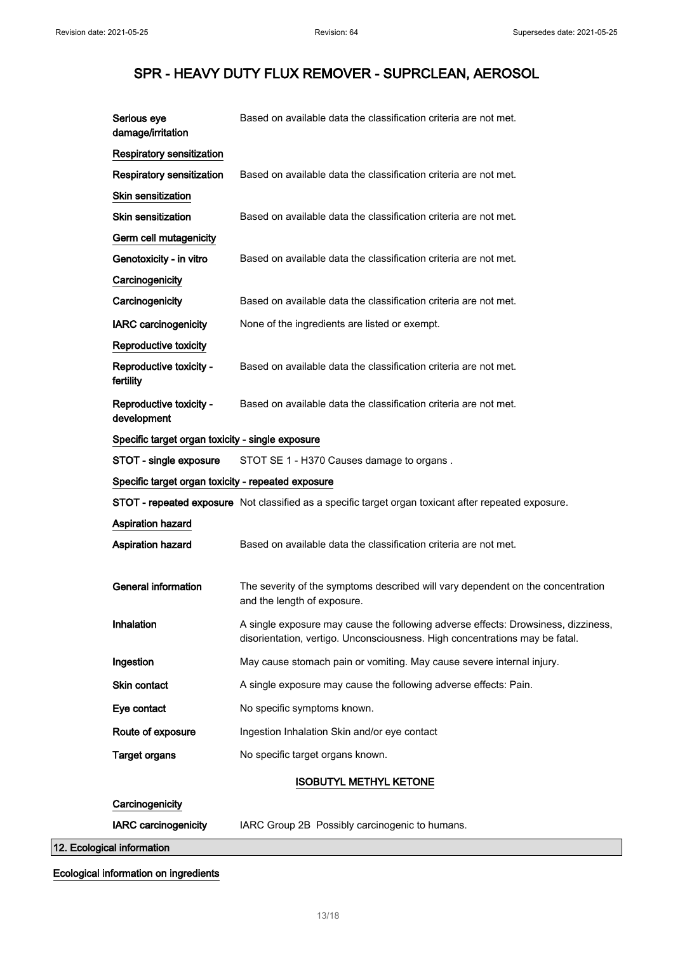| Serious eye<br>damage/irritation                   | Based on available data the classification criteria are not met.                                                                                                 |
|----------------------------------------------------|------------------------------------------------------------------------------------------------------------------------------------------------------------------|
| <b>Respiratory sensitization</b>                   |                                                                                                                                                                  |
| Respiratory sensitization                          | Based on available data the classification criteria are not met.                                                                                                 |
| Skin sensitization                                 |                                                                                                                                                                  |
| <b>Skin sensitization</b>                          | Based on available data the classification criteria are not met.                                                                                                 |
| Germ cell mutagenicity                             |                                                                                                                                                                  |
| Genotoxicity - in vitro                            | Based on available data the classification criteria are not met.                                                                                                 |
| Carcinogenicity                                    |                                                                                                                                                                  |
| Carcinogenicity                                    | Based on available data the classification criteria are not met.                                                                                                 |
| <b>IARC carcinogenicity</b>                        | None of the ingredients are listed or exempt.                                                                                                                    |
| Reproductive toxicity                              |                                                                                                                                                                  |
| Reproductive toxicity -<br>fertility               | Based on available data the classification criteria are not met.                                                                                                 |
| Reproductive toxicity -<br>development             | Based on available data the classification criteria are not met.                                                                                                 |
| Specific target organ toxicity - single exposure   |                                                                                                                                                                  |
| STOT - single exposure                             | STOT SE 1 - H370 Causes damage to organs.                                                                                                                        |
| Specific target organ toxicity - repeated exposure |                                                                                                                                                                  |
|                                                    | STOT - repeated exposure Not classified as a specific target organ toxicant after repeated exposure.                                                             |
| Aspiration hazard                                  |                                                                                                                                                                  |
| Aspiration hazard                                  | Based on available data the classification criteria are not met.                                                                                                 |
|                                                    |                                                                                                                                                                  |
| <b>General information</b>                         | The severity of the symptoms described will vary dependent on the concentration<br>and the length of exposure.                                                   |
| Inhalation                                         | A single exposure may cause the following adverse effects: Drowsiness, dizziness,<br>disorientation, vertigo. Unconsciousness. High concentrations may be fatal. |
| Ingestion                                          | May cause stomach pain or vomiting. May cause severe internal injury.                                                                                            |
| <b>Skin contact</b>                                | A single exposure may cause the following adverse effects: Pain.                                                                                                 |
| Eye contact                                        | No specific symptoms known.                                                                                                                                      |
| Route of exposure                                  | Ingestion Inhalation Skin and/or eye contact                                                                                                                     |
| <b>Target organs</b>                               | No specific target organs known.                                                                                                                                 |
|                                                    | <b>ISOBUTYL METHYL KETONE</b>                                                                                                                                    |

### **Carcinogenicity**

IARC carcinogenicity IARC Group 2B Possibly carcinogenic to humans.

12. Ecological information

Ecological information on ingredients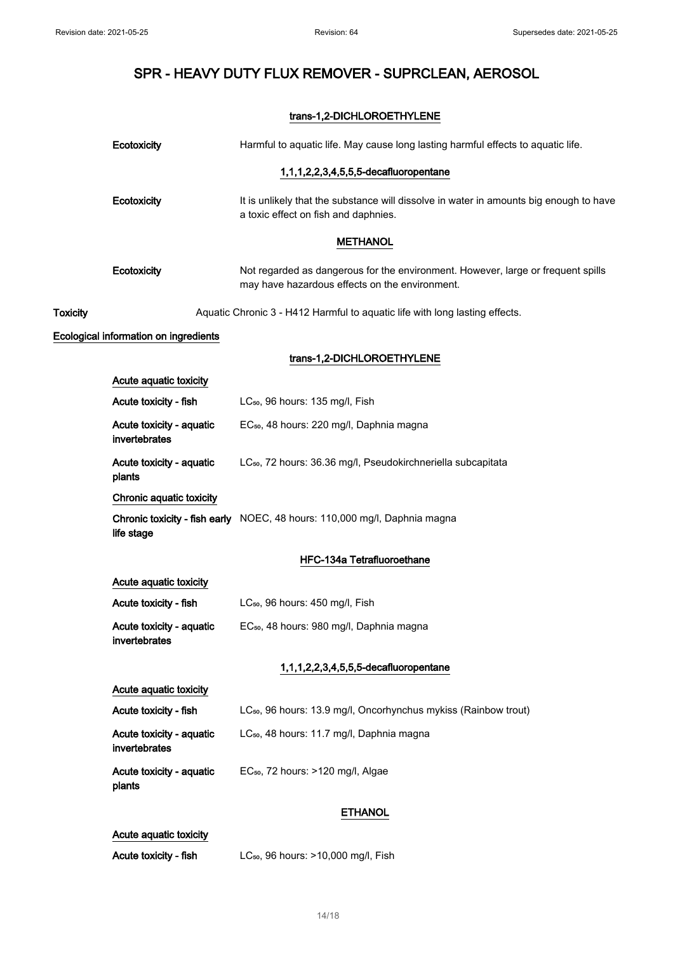### trans-1,2-DICHLOROETHYLENE

|                 | Ecotoxicity                               | Harmful to aquatic life. May cause long lasting harmful effects to aquatic life.                                                   |
|-----------------|-------------------------------------------|------------------------------------------------------------------------------------------------------------------------------------|
|                 |                                           | 1,1,1,2,2,3,4,5,5,5-decafluoropentane                                                                                              |
|                 | Ecotoxicity                               | It is unlikely that the substance will dissolve in water in amounts big enough to have<br>a toxic effect on fish and daphnies.     |
|                 |                                           | <b>METHANOL</b>                                                                                                                    |
|                 | Ecotoxicity                               | Not regarded as dangerous for the environment. However, large or frequent spills<br>may have hazardous effects on the environment. |
| <b>Toxicity</b> |                                           | Aquatic Chronic 3 - H412 Harmful to aquatic life with long lasting effects.                                                        |
|                 | Ecological information on ingredients     |                                                                                                                                    |
|                 |                                           | trans-1,2-DICHLOROETHYLENE                                                                                                         |
|                 | Acute aquatic toxicity                    |                                                                                                                                    |
|                 | Acute toxicity - fish                     | LC <sub>50</sub> , 96 hours: 135 mg/l, Fish                                                                                        |
|                 | Acute toxicity - aquatic<br>invertebrates | EC <sub>50</sub> , 48 hours: 220 mg/l, Daphnia magna                                                                               |
|                 | Acute toxicity - aquatic<br>plants        | LC <sub>50</sub> , 72 hours: 36.36 mg/l, Pseudokirchneriella subcapitata                                                           |
|                 | Chronic aquatic toxicity                  |                                                                                                                                    |
|                 | life stage                                | Chronic toxicity - fish early NOEC, 48 hours: 110,000 mg/l, Daphnia magna                                                          |
|                 |                                           | HFC-134a Tetrafluoroethane                                                                                                         |
|                 | Acute aquatic toxicity                    |                                                                                                                                    |
|                 | Acute toxicity - fish                     | LC <sub>50</sub> , 96 hours: 450 mg/l, Fish                                                                                        |
|                 | Acute toxicity - aquatic<br>invertebrates | EC <sub>50</sub> , 48 hours: 980 mg/l, Daphnia magna                                                                               |
|                 | 1,1,1,2,2,3,4,5,5,5-decafluoropentane     |                                                                                                                                    |
|                 | Acute aquatic toxicity                    |                                                                                                                                    |
|                 | Acute toxicity - fish                     | LC <sub>50</sub> , 96 hours: 13.9 mg/l, Oncorhynchus mykiss (Rainbow trout)                                                        |
|                 | Acute toxicity - aquatic<br>invertebrates | LC <sub>50</sub> , 48 hours: 11.7 mg/l, Daphnia magna                                                                              |
|                 | Acute toxicity - aquatic<br>plants        | $EC_{50}$ , 72 hours: >120 mg/l, Algae                                                                                             |
|                 |                                           | <b>ETHANOL</b>                                                                                                                     |
|                 | Acute aquatic toxicity                    |                                                                                                                                    |
|                 | Acute toxicity - fish                     | LC <sub>50</sub> , 96 hours: >10,000 mg/l, Fish                                                                                    |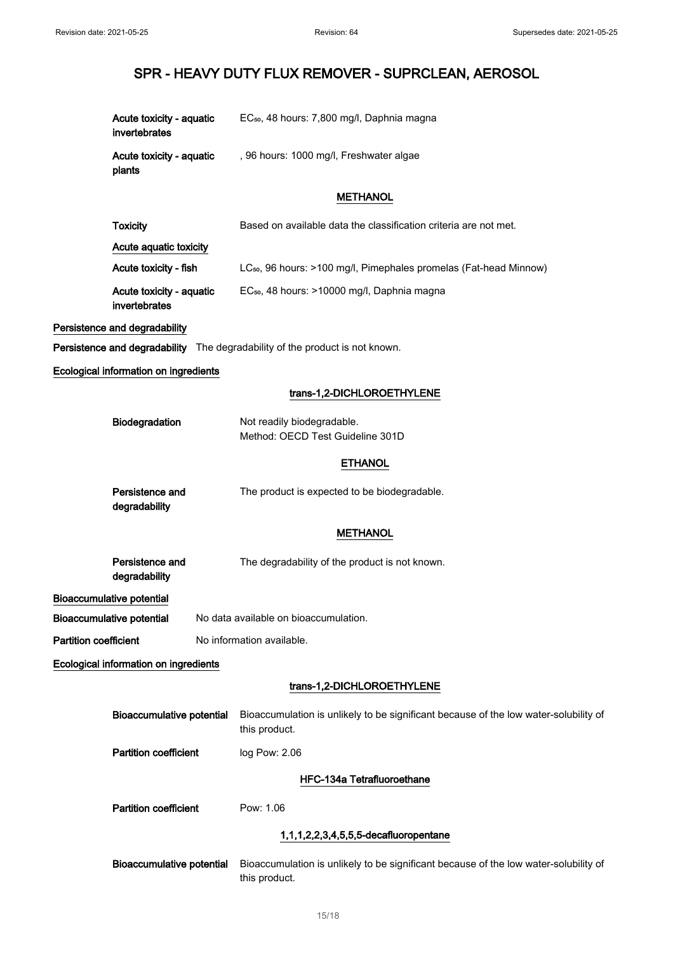| Acute toxicity - aguatic | EC <sub>50</sub> , 48 hours: 7,800 mg/l, Daphnia magna |
|--------------------------|--------------------------------------------------------|
| invertebrates            |                                                        |
|                          |                                                        |

Acute toxicity - aquatic plants , 96 hours: 1000 mg/l, Freshwater algae

#### **METHANOL**

| <b>Toxicity</b>                           | Based on available data the classification criteria are not met.              |
|-------------------------------------------|-------------------------------------------------------------------------------|
| Acute aguatic toxicity                    |                                                                               |
| Acute toxicity - fish                     | LC <sub>50</sub> , 96 hours: >100 mg/l, Pimephales promelas (Fat-head Minnow) |
| Acute toxicity - aquatic<br>invertebrates | EC <sub>50</sub> , 48 hours: >10000 mg/l, Daphnia magna                       |

Persistence and degradability

Persistence and degradability The degradability of the product is not known.

#### Ecological information on ingredients

### trans-1,2-DICHLOROETHYLENE

|                                       | Biodegradation                   | Not readily biodegradable.<br>Method: OECD Test Guideline 301D                                        |
|---------------------------------------|----------------------------------|-------------------------------------------------------------------------------------------------------|
|                                       |                                  | <b>ETHANOL</b>                                                                                        |
|                                       | Persistence and<br>degradability | The product is expected to be biodegradable.                                                          |
|                                       |                                  | <b>METHANOL</b>                                                                                       |
|                                       | Persistence and<br>degradability | The degradability of the product is not known.                                                        |
|                                       | <b>Bioaccumulative potential</b> |                                                                                                       |
| <b>Bioaccumulative potential</b>      |                                  | No data available on bioaccumulation.                                                                 |
| <b>Partition coefficient</b>          |                                  | No information available.                                                                             |
| Ecological information on ingredients |                                  |                                                                                                       |
|                                       |                                  | trans-1,2-DICHLOROETHYLENE                                                                            |
|                                       | <b>Bioaccumulative potential</b> | Bioaccumulation is unlikely to be significant because of the low water-solubility of<br>this product. |
| <b>Partition coefficient</b>          |                                  | log Pow: 2.06                                                                                         |
|                                       |                                  | HFC-134a Tetrafluoroethane                                                                            |
|                                       | <b>Partition coefficient</b>     | Pow: 1.06                                                                                             |
|                                       |                                  | 1,1,1,2,2,3,4,5,5,5-decafluoropentane                                                                 |
|                                       | <b>Bioaccumulative potential</b> | Bioaccumulation is unlikely to be significant because of the low water-solubility of<br>this product. |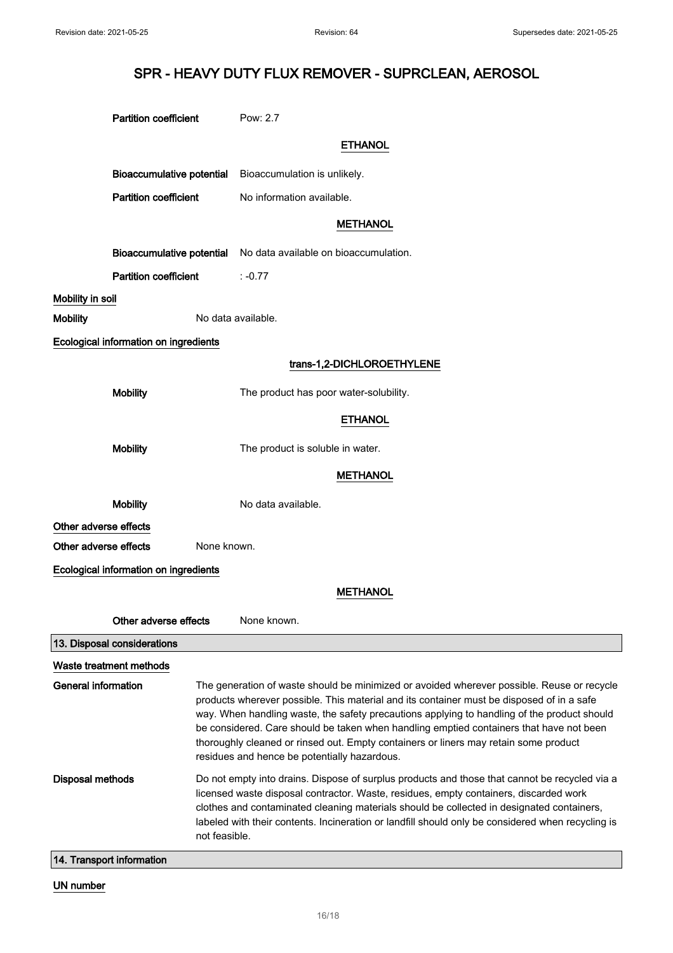|                            | <b>Partition coefficient</b>          |                                                                                                                                                                                                                                                                                                                                                                                                                                                                                                                           | Pow: 2.7                                                        |
|----------------------------|---------------------------------------|---------------------------------------------------------------------------------------------------------------------------------------------------------------------------------------------------------------------------------------------------------------------------------------------------------------------------------------------------------------------------------------------------------------------------------------------------------------------------------------------------------------------------|-----------------------------------------------------------------|
|                            |                                       |                                                                                                                                                                                                                                                                                                                                                                                                                                                                                                                           | <b>ETHANOL</b>                                                  |
|                            | <b>Bioaccumulative potential</b>      |                                                                                                                                                                                                                                                                                                                                                                                                                                                                                                                           | Bioaccumulation is unlikely.                                    |
|                            | <b>Partition coefficient</b>          |                                                                                                                                                                                                                                                                                                                                                                                                                                                                                                                           | No information available.                                       |
|                            |                                       |                                                                                                                                                                                                                                                                                                                                                                                                                                                                                                                           | <b>METHANOL</b>                                                 |
|                            |                                       |                                                                                                                                                                                                                                                                                                                                                                                                                                                                                                                           | Bioaccumulative potential No data available on bioaccumulation. |
|                            | <b>Partition coefficient</b>          |                                                                                                                                                                                                                                                                                                                                                                                                                                                                                                                           | $: -0.77$                                                       |
| Mobility in soil           |                                       |                                                                                                                                                                                                                                                                                                                                                                                                                                                                                                                           |                                                                 |
| <b>Mobility</b>            |                                       | No data available.                                                                                                                                                                                                                                                                                                                                                                                                                                                                                                        |                                                                 |
|                            | Ecological information on ingredients |                                                                                                                                                                                                                                                                                                                                                                                                                                                                                                                           |                                                                 |
|                            |                                       |                                                                                                                                                                                                                                                                                                                                                                                                                                                                                                                           | trans-1,2-DICHLOROETHYLENE                                      |
|                            | <b>Mobility</b>                       |                                                                                                                                                                                                                                                                                                                                                                                                                                                                                                                           | The product has poor water-solubility.                          |
|                            |                                       |                                                                                                                                                                                                                                                                                                                                                                                                                                                                                                                           | <b>ETHANOL</b>                                                  |
|                            | <b>Mobility</b>                       |                                                                                                                                                                                                                                                                                                                                                                                                                                                                                                                           | The product is soluble in water.                                |
|                            |                                       |                                                                                                                                                                                                                                                                                                                                                                                                                                                                                                                           | <b>METHANOL</b>                                                 |
|                            | <b>Mobility</b>                       |                                                                                                                                                                                                                                                                                                                                                                                                                                                                                                                           | No data available.                                              |
| Other adverse effects      |                                       |                                                                                                                                                                                                                                                                                                                                                                                                                                                                                                                           |                                                                 |
| Other adverse effects      |                                       | None known.                                                                                                                                                                                                                                                                                                                                                                                                                                                                                                               |                                                                 |
|                            | Ecological information on ingredients |                                                                                                                                                                                                                                                                                                                                                                                                                                                                                                                           |                                                                 |
|                            |                                       |                                                                                                                                                                                                                                                                                                                                                                                                                                                                                                                           | <b>METHANOL</b>                                                 |
|                            | Other adverse effects                 |                                                                                                                                                                                                                                                                                                                                                                                                                                                                                                                           | None known.                                                     |
|                            | 13. Disposal considerations           |                                                                                                                                                                                                                                                                                                                                                                                                                                                                                                                           |                                                                 |
|                            | Waste treatment methods               |                                                                                                                                                                                                                                                                                                                                                                                                                                                                                                                           |                                                                 |
| <b>General information</b> |                                       | The generation of waste should be minimized or avoided wherever possible. Reuse or recycle<br>products wherever possible. This material and its container must be disposed of in a safe<br>way. When handling waste, the safety precautions applying to handling of the product should<br>be considered. Care should be taken when handling emptied containers that have not been<br>thoroughly cleaned or rinsed out. Empty containers or liners may retain some product<br>residues and hence be potentially hazardous. |                                                                 |
| <b>Disposal methods</b>    |                                       | Do not empty into drains. Dispose of surplus products and those that cannot be recycled via a<br>licensed waste disposal contractor. Waste, residues, empty containers, discarded work<br>clothes and contaminated cleaning materials should be collected in designated containers,<br>labeled with their contents. Incineration or landfill should only be considered when recycling is<br>not feasible.                                                                                                                 |                                                                 |
|                            | 14. Transport information             |                                                                                                                                                                                                                                                                                                                                                                                                                                                                                                                           |                                                                 |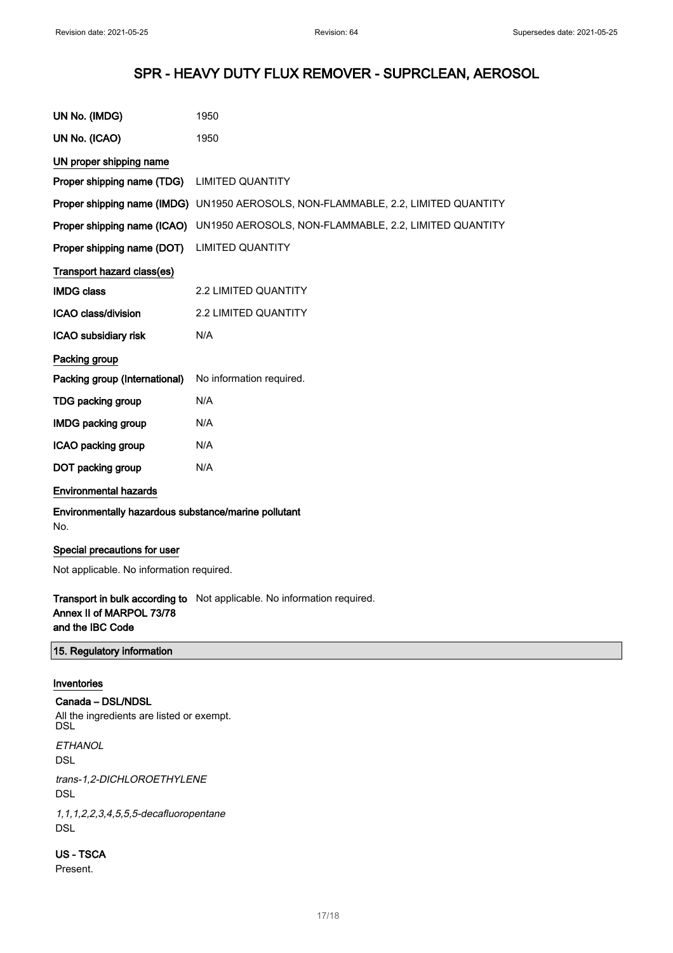| UN No. (IMDG)                 | 1950                                                                              |
|-------------------------------|-----------------------------------------------------------------------------------|
| UN No. (ICAO)                 | 1950                                                                              |
| UN proper shipping name       |                                                                                   |
| Proper shipping name (TDG)    | <b>LIMITED QUANTITY</b>                                                           |
|                               | Proper shipping name (IMDG) UN1950 AEROSOLS, NON-FLAMMABLE, 2.2, LIMITED QUANTITY |
| Proper shipping name (ICAO)   | UN1950 AEROSOLS, NON-FLAMMABLE, 2.2, LIMITED QUANTITY                             |
| Proper shipping name (DOT)    | <b>LIMITED QUANTITY</b>                                                           |
| Transport hazard class(es)    |                                                                                   |
| <b>IMDG class</b>             | <b>2.2 LIMITED QUANTITY</b>                                                       |
| <b>ICAO class/division</b>    | <b>2.2 LIMITED QUANTITY</b>                                                       |
| ICAO subsidiary risk          | N/A                                                                               |
| Packing group                 |                                                                                   |
| Packing group (International) | No information required.                                                          |
| TDG packing group             | N/A                                                                               |
| <b>IMDG packing group</b>     | N/A                                                                               |
| ICAO packing group            | N/A                                                                               |
| DOT packing group             | N/A                                                                               |
|                               |                                                                                   |

### Environmental hazards

Environmentally hazardous substance/marine pollutant No.

### Special precautions for user

Not applicable. No information required.

**Transport in bulk according to** Not applicable. No information required. Annex II of MARPOL 73/78 and the IBC Code

### 15. Regulatory information

#### Inventories

Canada – DSL/NDSL All the ingredients are listed or exempt. DSL **ETHANOL** 

**DSL** 

trans-1,2-DICHLOROETHYLENE DSL

1,1,1,2,2,3,4,5,5,5-decafluoropentane DSL

US - TSCA Present.